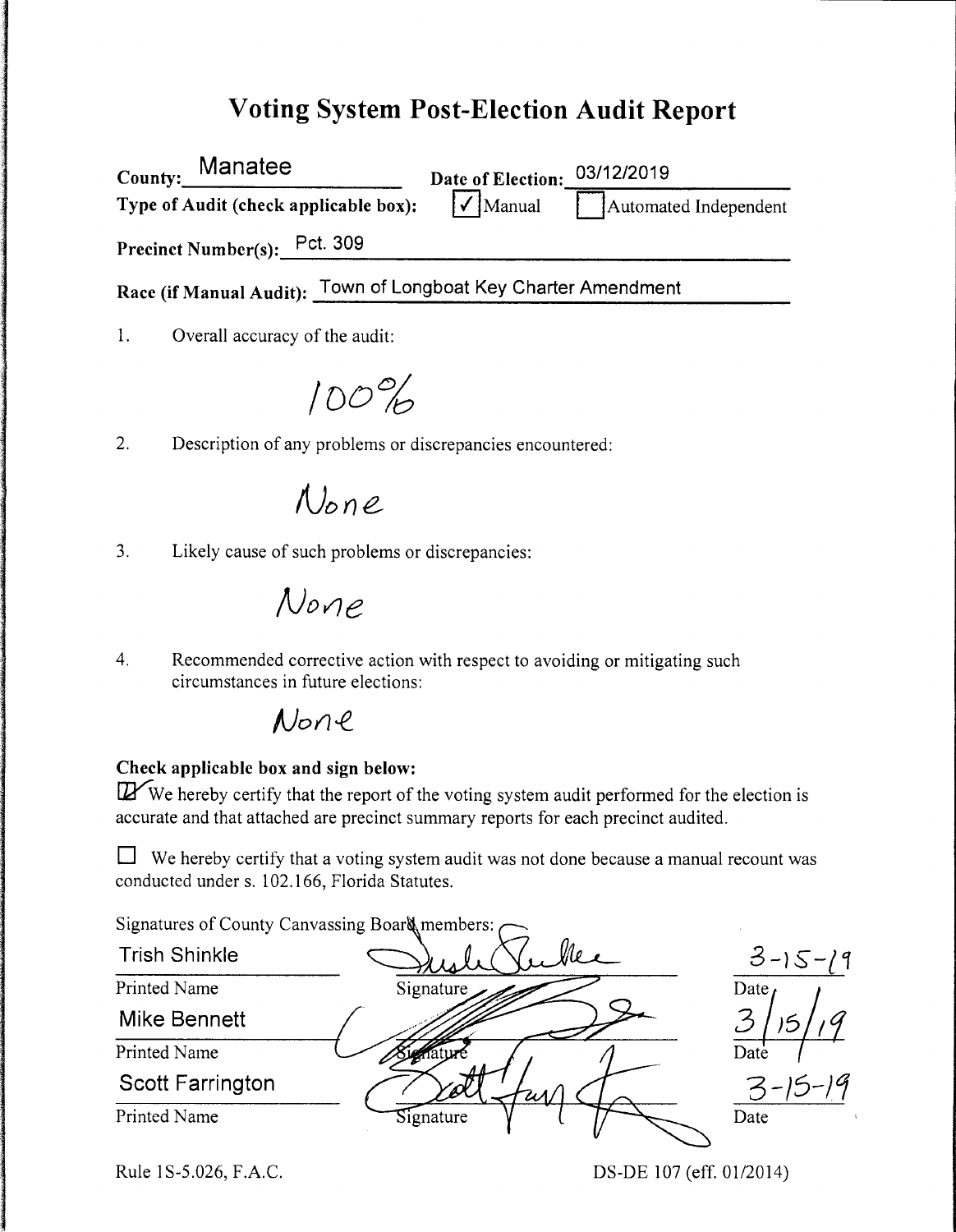## **Voting System Post-Election Audit Report**

County: \_\_\_\_\_\_\_\_\_ **Manatee** \_ Type of Audit (check applicable box): Date of Election: 03/12/2019<br>
Manual **Automated Independent** Precinct Number(s):  $Pct. 309$ Race (if Manual Audit): Town of Longboat Key Charter Amendment

1. Overall accuracy of the audit:

*/00%* 

2. Description of any problems or discrepancies encountered:

None

3. Likely cause of such problems or discrepancies:

*!JovJe* 

4. Recommended corrective action with respect to avoiding or mitigating such circumstances in future elections:

## $None$

### **Check applicable box and sign below:**

 $I\!\!Z'$ We hereby certify that the report of the voting system audit performed for the election is accurate and that attached are precinct summary reports for each precinct audited.

 $\Box$  We hereby certify that a voting system audit was not done because a manual recount was conducted under s. 102.166, Florida Statutes.

Signatures of County Canvassing Board members:  $\frown$ 

| <b>Trish Shinkle</b>    |                      | $3 - 15 - 19$ |
|-------------------------|----------------------|---------------|
| Printed Name            | Signature            | Date          |
| Mike Bennett            |                      |               |
| Printed Name            |                      | Date          |
| <b>Scott Farrington</b> | $\mathscr{D}'$<br>WИ |               |
| Printed Name            | Signature            | Date          |

Rule 1S-5.026, F.A.C.

DS-DE 107 (eff. 01/2014)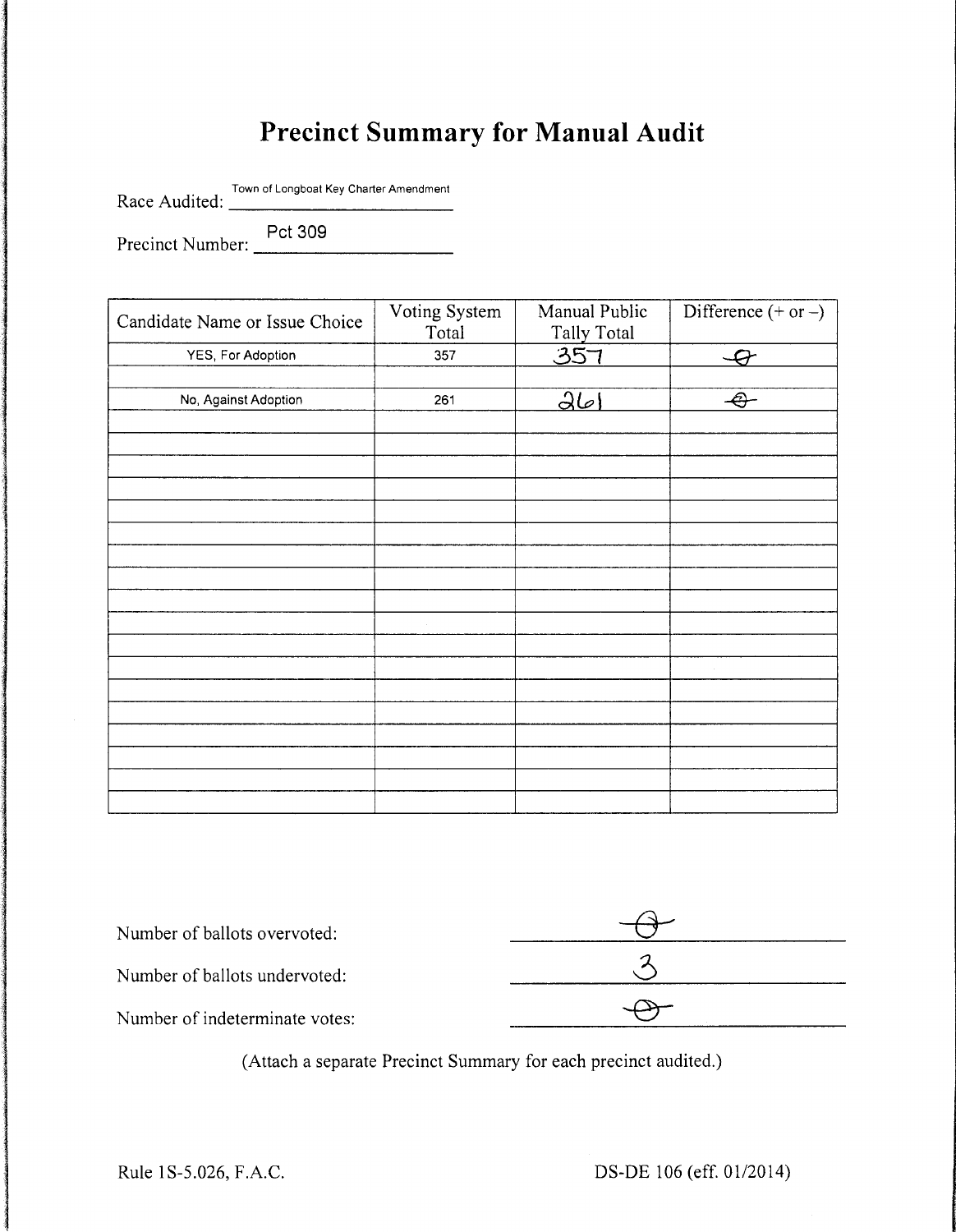# **Precinct Summary for Manual Audit**

Race Audited: Town of Longboat Key Charter Amendment

Precinct Number: <u>Pct 309</u>

| Candidate Name or Issue Choice | Voting System<br>Total | Manual Public<br>Tally Total | Difference $(+ or -)$    |
|--------------------------------|------------------------|------------------------------|--------------------------|
| YES, For Adoption              | 357                    | 357                          | $\overline{\mathcal{Q}}$ |
|                                |                        |                              |                          |
| No, Against Adoption           | 261                    | 26                           | $\bigoplus$              |
|                                |                        |                              |                          |
|                                |                        |                              |                          |
|                                |                        |                              |                          |
|                                |                        |                              |                          |
|                                |                        |                              |                          |
|                                |                        |                              |                          |
|                                |                        |                              |                          |
|                                |                        |                              |                          |
|                                |                        |                              |                          |
|                                |                        |                              |                          |
|                                |                        |                              |                          |
|                                |                        |                              |                          |
|                                |                        |                              |                          |
|                                |                        |                              |                          |
|                                |                        |                              |                          |
|                                |                        |                              |                          |
|                                |                        |                              |                          |
|                                |                        |                              |                          |

| Number of ballots overvoted:   |  |
|--------------------------------|--|
| Number of ballots undervoted:  |  |
| Number of indeterminate votes: |  |

(Attach a separate Precinct Summary for each precinct audited.)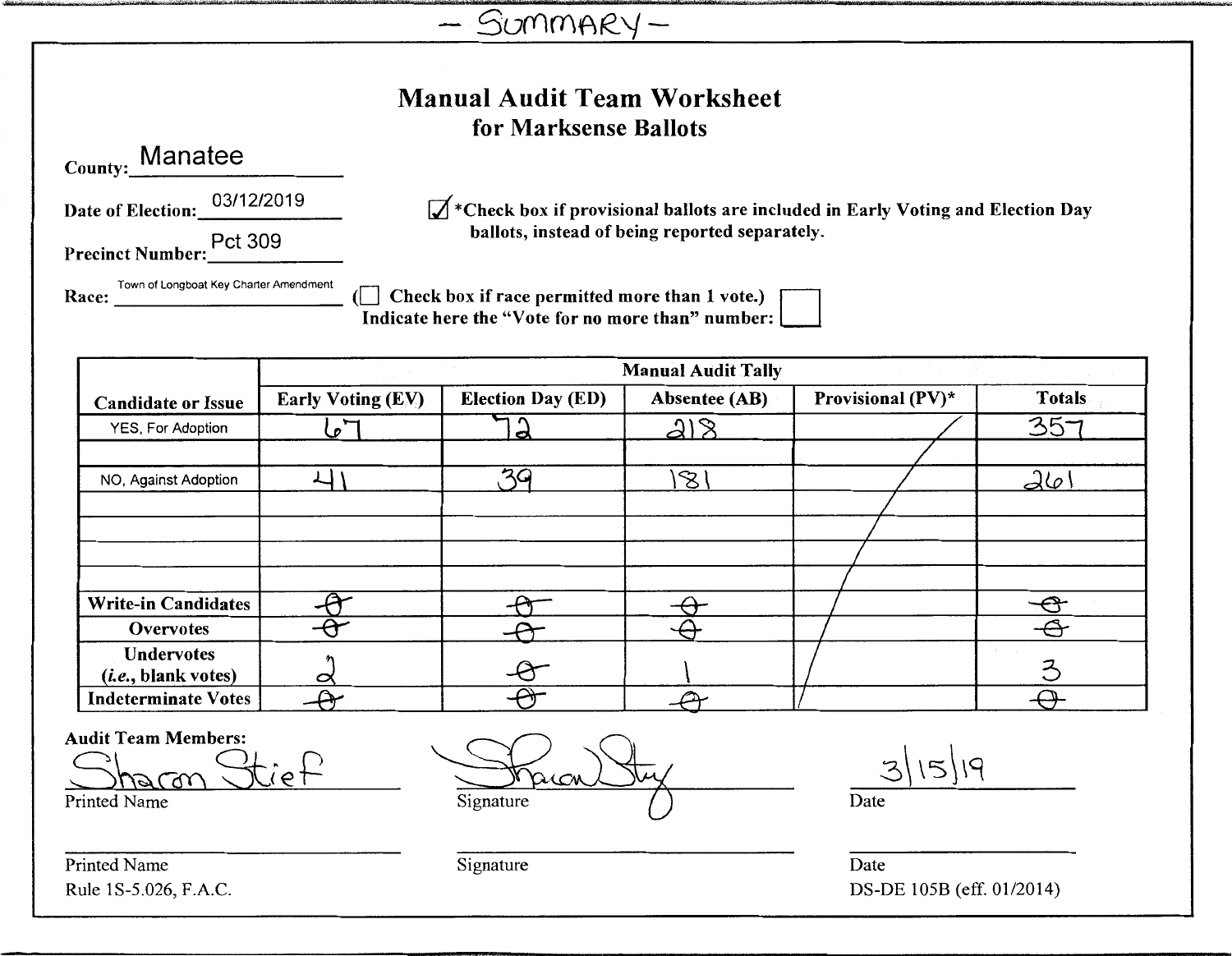| SUMMARY- |  |
|----------|--|
|----------|--|

| Manual Audit Team Worksheet |
|-----------------------------|
| for Marksense Ballots       |

County: Manatee

Date of Election: 03/12/2019

 $\mathcal{A}$ \*Check box if provisional ballots are included in Early Voting and Election Day ballots, instead of being reported separately.

Precinct Number: Pct 309

Town of Longboat Key Charter Amendment Race:

Check box if race permitted more than 1 vote.) [  $\mathbf{d}$  $\overline{\mathbf{I}}$  indicate here the "Vote for no more than" number:  $\mathbf{I}$ 

|                                                   | <b>Manual Audit Tally</b> |                          |                         |                   |                   |  |  |
|---------------------------------------------------|---------------------------|--------------------------|-------------------------|-------------------|-------------------|--|--|
| <b>Candidate or Issue</b>                         | <b>Early Voting (EV)</b>  | <b>Election Day (ED)</b> | <b>Absentee (AB)</b>    | Provisional (PV)* | Totals            |  |  |
| YES, For Adoption                                 | $\mathcal{L}$             | o                        | 218                     |                   | 357               |  |  |
|                                                   |                           |                          |                         |                   |                   |  |  |
| NO, Against Adoption                              |                           | マロ                       | $\mathcal{B}^{\dagger}$ |                   | $d\omega$         |  |  |
|                                                   |                           |                          |                         |                   |                   |  |  |
|                                                   |                           |                          |                         |                   |                   |  |  |
|                                                   |                           |                          |                         |                   |                   |  |  |
|                                                   |                           |                          |                         |                   |                   |  |  |
| <b>Write-in Candidates</b>                        |                           |                          |                         |                   |                   |  |  |
| Overvotes                                         |                           |                          |                         |                   | $\mathbf{\Theta}$ |  |  |
| <b>Undervotes</b><br>( <i>i.e.</i> , blank votes) | 0                         |                          |                         |                   | Z                 |  |  |
| <b>Indeterminate Votes</b>                        |                           |                          |                         |                   |                   |  |  |

**Audit Team Members:** 

iet harm

**Printed Name** 

Printed Name Rule 1S-5.026, F.A.C.

Signature

15/19

Date

Date DS-DE 105B (eff. 01/2014)

Signature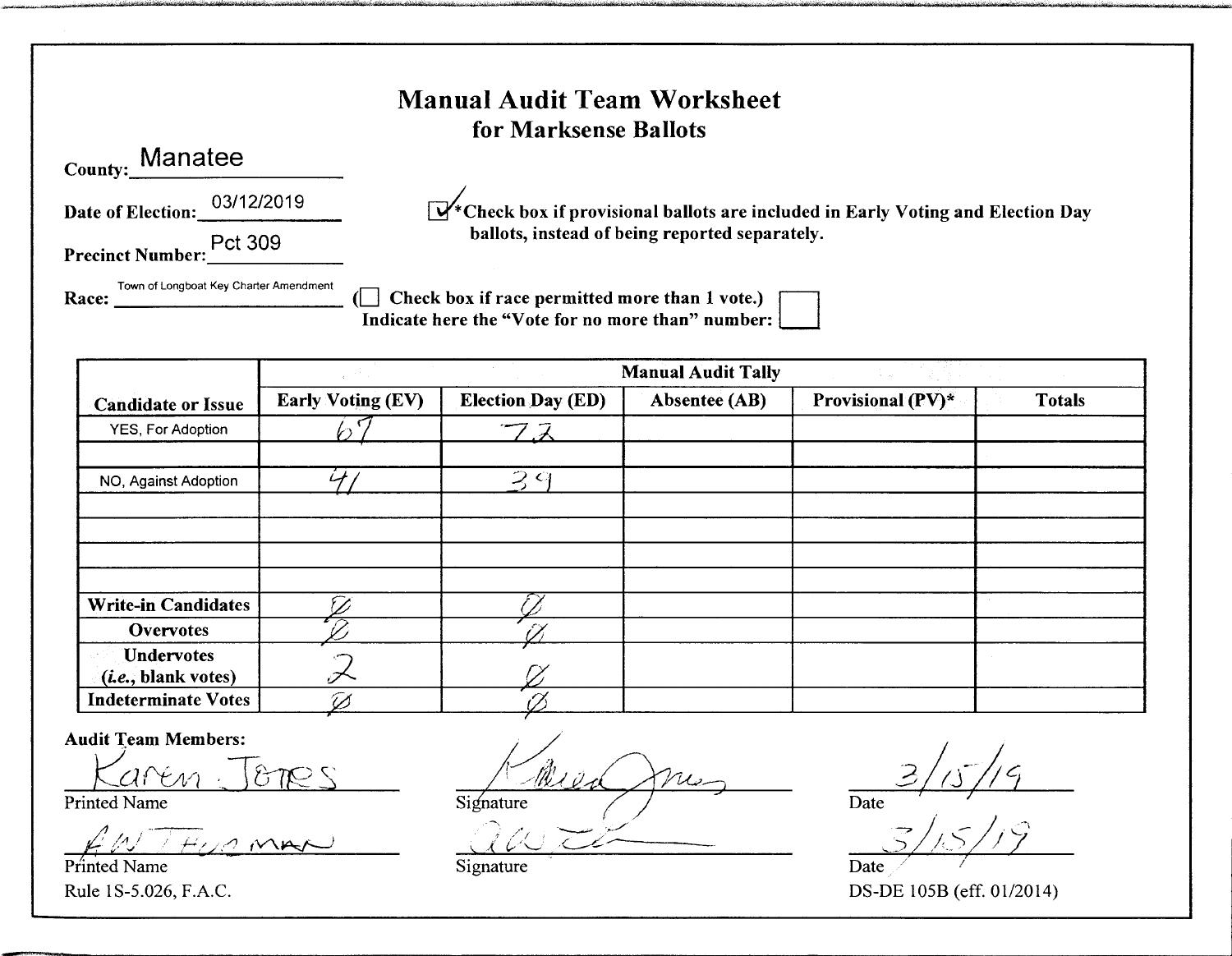### Manual Audit Team Worksheet for Marksense Ballots

| County: Manatee              |  |  |  |
|------------------------------|--|--|--|
| Date of Election: 03/12/2019 |  |  |  |
| Pct 309                      |  |  |  |

.,,,,--..@~~ r··tT110k'½:1f½W·,q tl ttl tfi'"'"wi¾"'llP' ''oil.~- •'3¢'ff'+i:1'iil17t ''itNiO' 0bJl\: \'~-·1wfif':::Wi·f 'iii'wl/i:&;4 ii'II< "Wi::¾i±'M • t eu' +'i:iiu:W

 $\mathbb{R}^*$ Check box if provisional ballots are included in Early Voting and Election Day ballots, instead of being reported separately.

~,

Town of Longboat Key Charter Amendment ( $\Box$  Check box if race permitted more than 1 vote.) Indicate here the "Vote for no more than" number:

|                              | Den er en statistik<br><b>Manual Audit Tally</b><br><b>The South State</b> |                                   |                      |                   |               |  |
|------------------------------|----------------------------------------------------------------------------|-----------------------------------|----------------------|-------------------|---------------|--|
| <b>Candidate or Issue</b>    | <b>Early Voting (EV)</b>                                                   | <b>Election Day (ED)</b>          | <b>Absentee (AB)</b> | Provisional (PV)* | <b>Totals</b> |  |
| YES, For Adoption            |                                                                            | フス                                |                      |                   |               |  |
|                              |                                                                            |                                   |                      |                   |               |  |
| NO, Against Adoption         | $\mathcal{L}$                                                              | $\mathcal{Z} \subset \mathcal{C}$ |                      |                   |               |  |
|                              |                                                                            |                                   |                      |                   |               |  |
|                              |                                                                            |                                   |                      |                   |               |  |
|                              |                                                                            |                                   |                      |                   |               |  |
|                              |                                                                            |                                   |                      |                   |               |  |
| <b>Write-in Candidates</b>   |                                                                            |                                   |                      |                   |               |  |
| <b>Overvotes</b>             |                                                                            |                                   |                      |                   |               |  |
| <b>Undervotes</b>            |                                                                            |                                   |                      |                   |               |  |
| ( <i>i.e.</i> , blank votes) | .≁                                                                         |                                   |                      |                   |               |  |
| <b>Indeterminate Votes</b>   | Ø                                                                          |                                   |                      |                   |               |  |

Audit Team Members:

*/! /A* / . ' . . /1 V\.IA::f--) *~t.\_,· rt< .. ·* , \_\_\_\_ \_ Piinted Name

 $arén:Jones$   $MueDnu$ ,  $3/15/19$ Printed Name Date --,

.\_/

 $\omega z$   $\approx$   $\frac{z}{1/5/19}$ 

Rule 1S-5.026, F.A.C. DS-DE 105B (eff. 01/2014)

Signature Date

 $\mathcal{E}^{\prime}$  /  $\mathcal{E}^{\prime}$  /  $\mathcal{E}^{\prime}$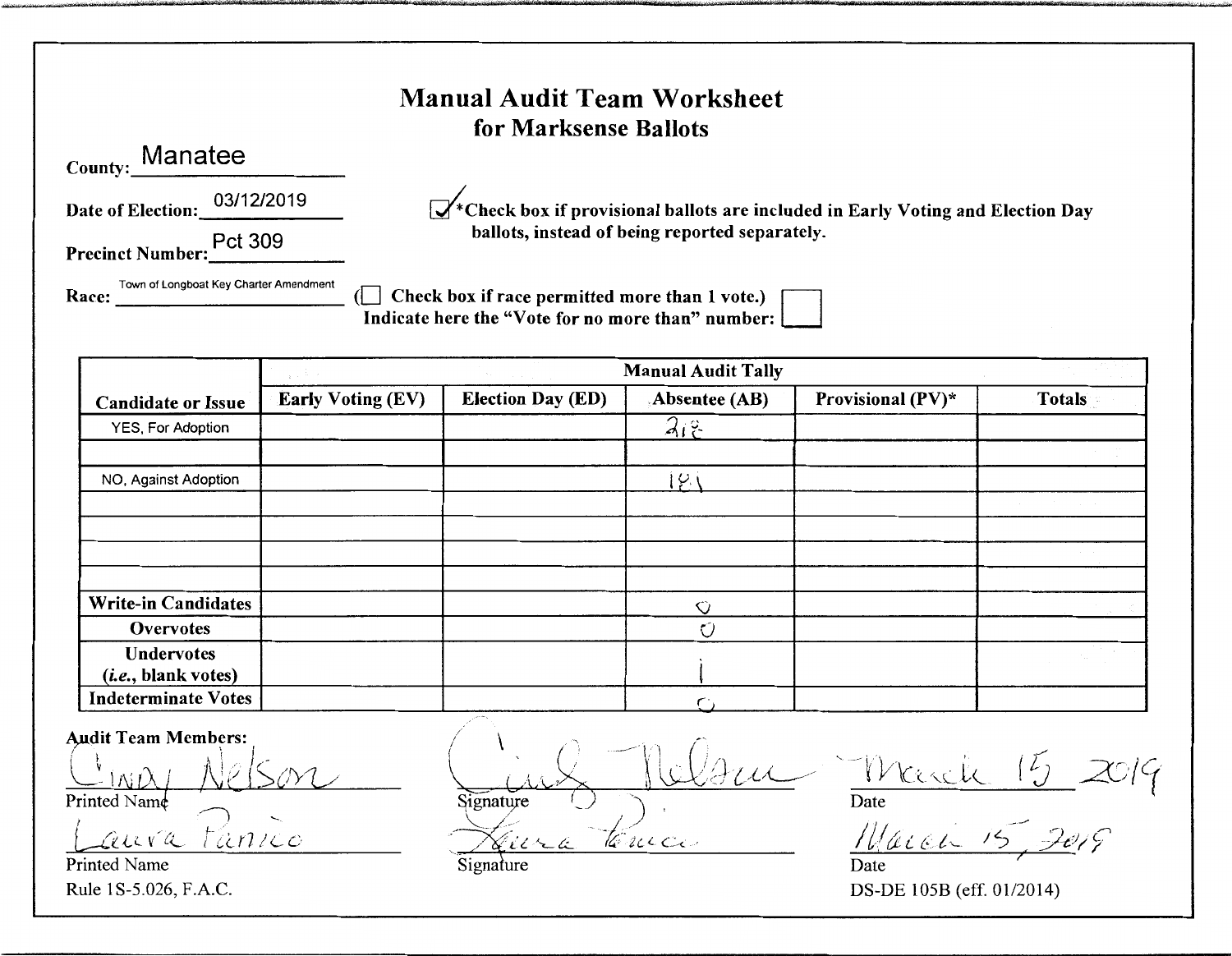### **Manual Audit Team Worksheet** for Marksense Ballots

| County: Manatee              |  |  |  |  |
|------------------------------|--|--|--|--|
| Date of Election: 03/12/2019 |  |  |  |  |
| Pct 309                      |  |  |  |  |

Race:

Town of Longboat Key Charter Amendment

 $\mathbb{R}^*$ Check box if provisional ballots are included in Early Voting and Election Day ballots, instead of being reported separately.

Check box if race permitted more than 1 vote.) 61 H Indicate here the "Vote for no more than" number:

|                              | <b>Manual Audit Tally</b> |                          |                |                   |               |  |
|------------------------------|---------------------------|--------------------------|----------------|-------------------|---------------|--|
| <b>Candidate or Issue</b>    | <b>Early Voting (EV)</b>  | <b>Election Day (ED)</b> | Absentee (AB)  | Provisional (PV)* | <b>Totals</b> |  |
| YES, For Adoption            |                           |                          | 212            |                   |               |  |
|                              |                           |                          |                |                   |               |  |
| NO, Against Adoption         |                           |                          | $\varphi$ (    |                   |               |  |
|                              |                           |                          |                |                   |               |  |
|                              |                           |                          |                |                   |               |  |
|                              |                           |                          |                |                   |               |  |
|                              |                           |                          |                |                   |               |  |
| <b>Write-in Candidates</b>   |                           |                          | ♡              |                   |               |  |
| Overvotes                    |                           |                          | Ű              |                   |               |  |
| <b>Undervotes</b>            |                           |                          |                |                   |               |  |
| ( <i>i.e.</i> , blank votes) |                           |                          |                |                   |               |  |
| <b>Indeterminate Votes</b>   |                           |                          | $\mathsf{r}$ . |                   |               |  |

**Audit Team Members:** 

I AS F Printed Name

 $\omega$ nico aura **Printed Name** 

Rule 1S-5.026, F.A.C.

Signature Terucio

 $16$ Weekel  $\overline{\text{Date}}$ 

March

Date DS-DE 105B (eff. 01/2014)

Signature